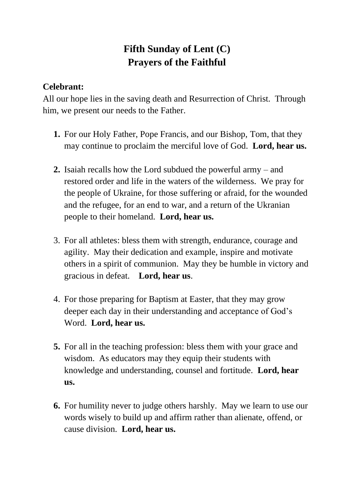## **Fifth Sunday of Lent (C) Prayers of the Faithful**

## **Celebrant:**

All our hope lies in the saving death and Resurrection of Christ. Through him, we present our needs to the Father.

- **1.** For our Holy Father, Pope Francis, and our Bishop, Tom, that they may continue to proclaim the merciful love of God. **Lord, hear us.**
- **2.** Isaiah recalls how the Lord subdued the powerful army and restored order and life in the waters of the wilderness. We pray for the people of Ukraine, for those suffering or afraid, for the wounded and the refugee, for an end to war, and a return of the Ukranian people to their homeland. **Lord, hear us.**
- 3. For all athletes: bless them with strength, endurance, courage and agility. May their dedication and example, inspire and motivate others in a spirit of communion. May they be humble in victory and gracious in defeat. **Lord, hear us**.
- 4. For those preparing for Baptism at Easter, that they may grow deeper each day in their understanding and acceptance of God's Word. **Lord, hear us.**
- **5.** For all in the teaching profession: bless them with your grace and wisdom. As educators may they equip their students with knowledge and understanding, counsel and fortitude. **Lord, hear us.**
- **6.** For humility never to judge others harshly. May we learn to use our words wisely to build up and affirm rather than alienate, offend, or cause division. **Lord, hear us.**